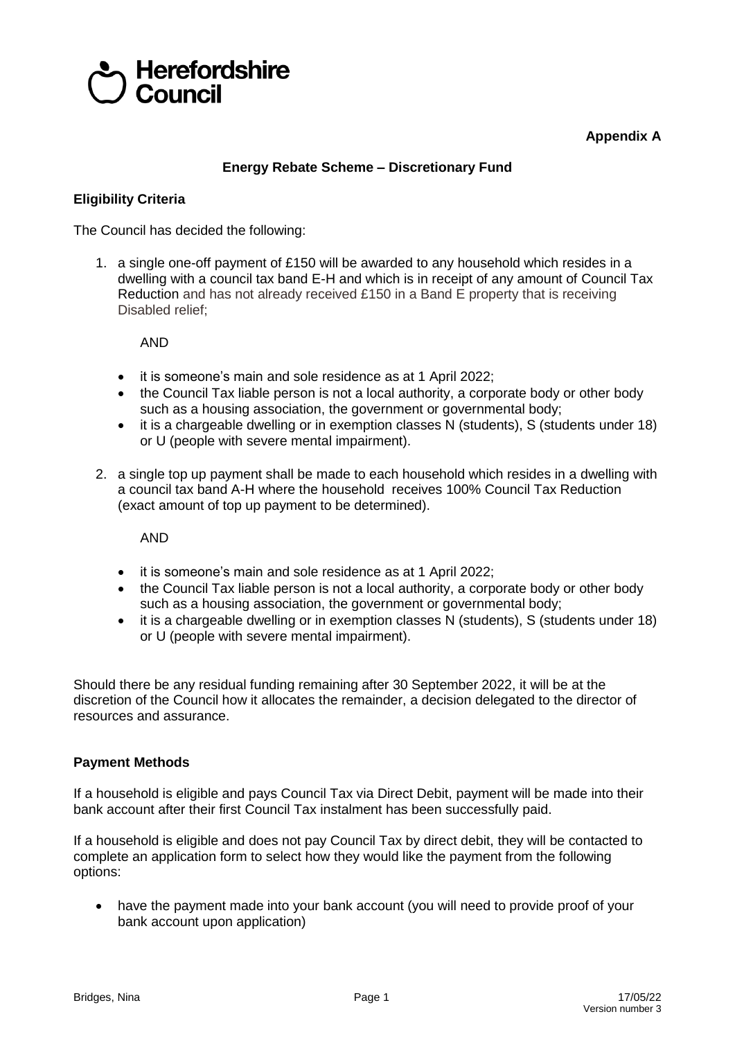

**Appendix A**

## **Energy Rebate Scheme – Discretionary Fund**

## **Eligibility Criteria**

The Council has decided the following:

1. a single one-off payment of £150 will be awarded to any household which resides in a dwelling with a council tax band E-H and which is in receipt of any amount of Council Tax Reduction and has not already received £150 in a Band E property that is receiving Disabled relief;

AND

- it is someone's main and sole residence as at 1 April 2022;
- the Council Tax liable person is not a local authority, a corporate body or other body such as a housing association, the government or governmental body;
- it is a chargeable dwelling or in exemption classes N (students), S (students under 18) or U (people with severe mental impairment).
- 2. a single top up payment shall be made to each household which resides in a dwelling with a council tax band A-H where the household receives 100% Council Tax Reduction (exact amount of top up payment to be determined).

AND

- it is someone's main and sole residence as at 1 April 2022;
- the Council Tax liable person is not a local authority, a corporate body or other body such as a housing association, the government or governmental body;
- it is a chargeable dwelling or in exemption classes N (students), S (students under 18) or U (people with severe mental impairment).

Should there be any residual funding remaining after 30 September 2022, it will be at the discretion of the Council how it allocates the remainder, a decision delegated to the director of resources and assurance.

## **Payment Methods**

If a household is eligible and pays Council Tax via Direct Debit, payment will be made into their bank account after their first Council Tax instalment has been successfully paid.

If a household is eligible and does not pay Council Tax by direct debit, they will be contacted to complete an application form to select how they would like the payment from the following options:

 have the payment made into your bank account (you will need to provide proof of your bank account upon application)